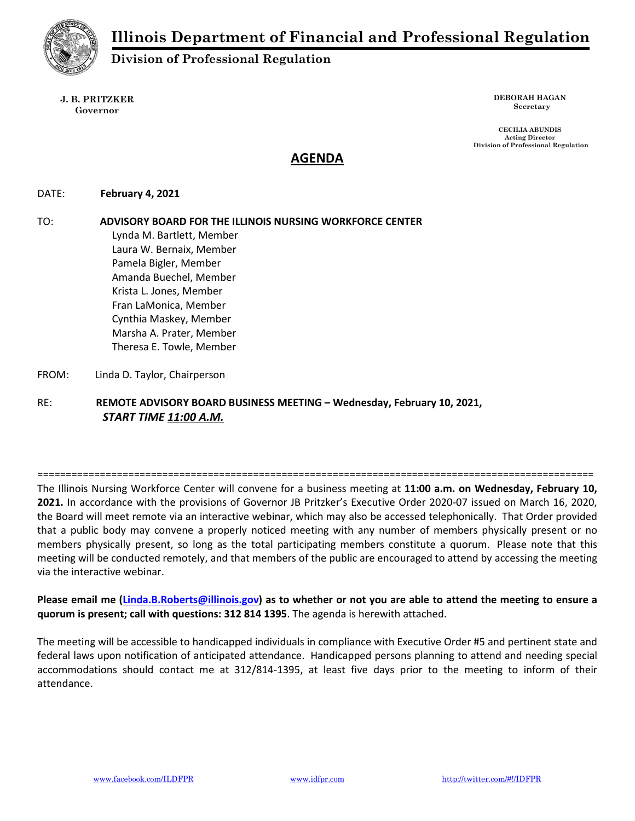

Division of Professional Regulation

J. B. PRITZKER Governor

DEBORAH HAGAN Secretary

CECILIA ABUNDIS Acting Director Division of Professional Regulation

# AGENDA

# DATE: February 4, 2021

TO: ADVISORY BOARD FOR THE ILLINOIS NURSING WORKFORCE CENTER Lynda M. Bartlett, Member Laura W. Bernaix, Member Pamela Bigler, Member Amanda Buechel, Member Krista L. Jones, Member Fran LaMonica, Member Cynthia Maskey, Member Marsha A. Prater, Member Theresa E. Towle, Member

FROM: Linda D. Taylor, Chairperson

RE: REMOTE ADVISORY BOARD BUSINESS MEETING – Wednesday, February 10, 2021, START TIME 11:00 A.M.

==================================================================================================

The Illinois Nursing Workforce Center will convene for a business meeting at 11:00 a.m. on Wednesday, February 10, 2021. In accordance with the provisions of Governor JB Pritzker's Executive Order 2020-07 issued on March 16, 2020, the Board will meet remote via an interactive webinar, which may also be accessed telephonically. That Order provided that a public body may convene a properly noticed meeting with any number of members physically present or no members physically present, so long as the total participating members constitute a quorum. Please note that this meeting will be conducted remotely, and that members of the public are encouraged to attend by accessing the meeting via the interactive webinar.

Please email me (Linda.B.Roberts@illinois.gov) as to whether or not you are able to attend the meeting to ensure a quorum is present; call with questions: 312 814 1395. The agenda is herewith attached.

The meeting will be accessible to handicapped individuals in compliance with Executive Order #5 and pertinent state and federal laws upon notification of anticipated attendance. Handicapped persons planning to attend and needing special accommodations should contact me at 312/814-1395, at least five days prior to the meeting to inform of their attendance.